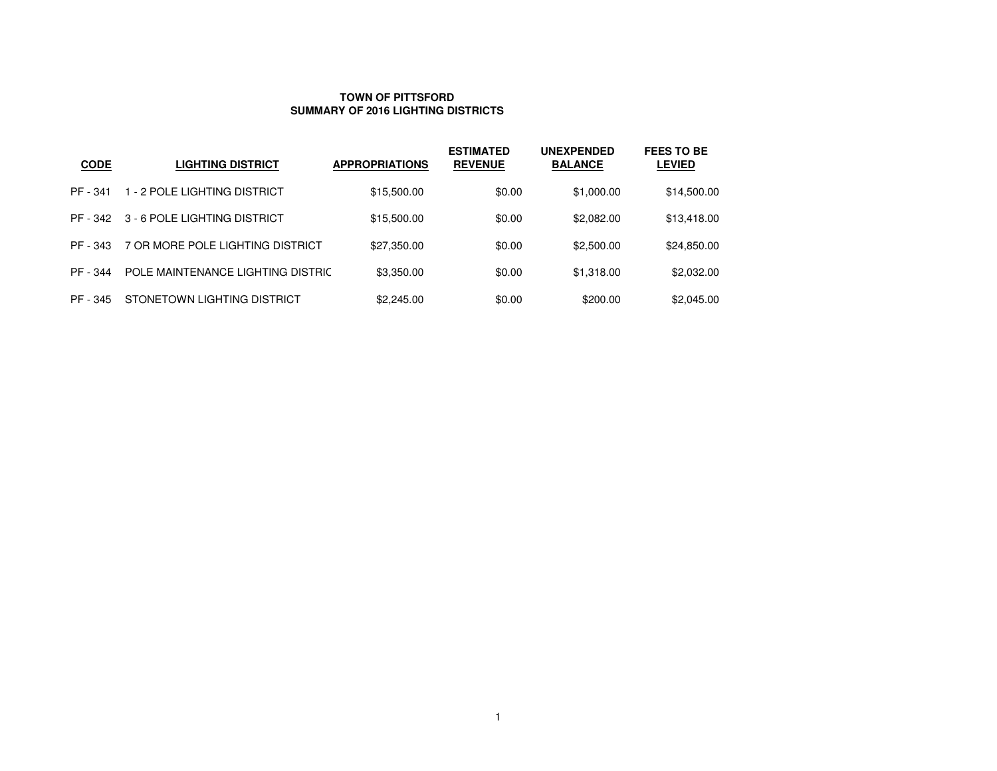#### **TOWN OF PITTSFORDSUMMARY OF 2016 LIGHTING DISTRICTS**

| <b>CODE</b> | <b>LIGHTING DISTRICT</b>          | <b>APPROPRIATIONS</b> | <b>ESTIMATED</b><br><b>REVENUE</b> | <b>UNEXPENDED</b><br><b>BALANCE</b> | <b>FEES TO BE</b><br><b>LEVIED</b> |
|-------------|-----------------------------------|-----------------------|------------------------------------|-------------------------------------|------------------------------------|
| PF - 341    | 1 - 2 POLE LIGHTING DISTRICT      | \$15,500.00           | \$0.00                             | \$1,000.00                          | \$14,500.00                        |
| PF - 342    | 3 - 6 POLE LIGHTING DISTRICT      | \$15,500.00           | \$0.00                             | \$2,082.00                          | \$13,418.00                        |
| PF - 343    | 7 OR MORE POLE LIGHTING DISTRICT  | \$27,350.00           | \$0.00                             | \$2,500.00                          | \$24,850.00                        |
| PF - 344    | POLE MAINTENANCE LIGHTING DISTRIC | \$3,350.00            | \$0.00                             | \$1,318.00                          | \$2,032.00                         |
| PF - 345    | STONETOWN LIGHTING DISTRICT       | \$2,245.00            | \$0.00                             | \$200.00                            | \$2,045.00                         |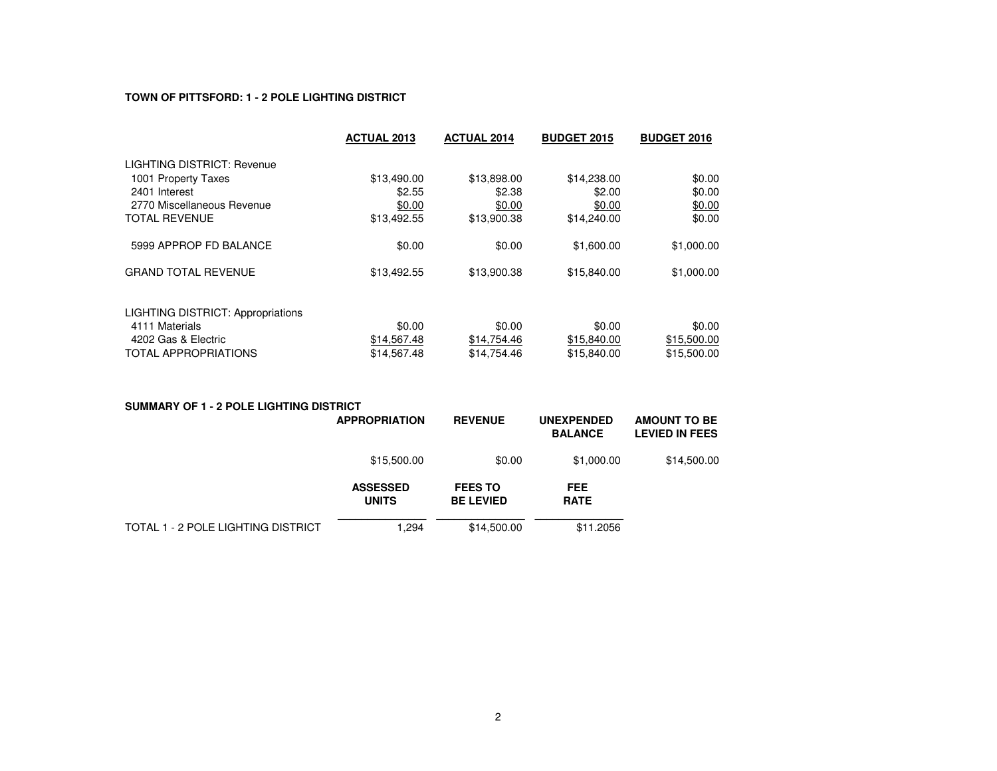# **TOWN OF PITTSFORD: 1 - 2 POLE LIGHTING DISTRICT**

|                                          | <b>ACTUAL 2013</b> | <b>ACTUAL 2014</b> | <b>BUDGET 2015</b> | <b>BUDGET 2016</b> |
|------------------------------------------|--------------------|--------------------|--------------------|--------------------|
| LIGHTING DISTRICT: Revenue               |                    |                    |                    |                    |
| 1001 Property Taxes                      | \$13,490.00        | \$13,898.00        | \$14,238.00        | \$0.00             |
| 2401 Interest                            | \$2.55             | \$2.38             | \$2.00             | \$0.00             |
| 2770 Miscellaneous Revenue               | \$0.00             | \$0.00             | \$0.00             | \$0.00             |
| <b>TOTAL REVENUE</b>                     | \$13,492.55        | \$13,900.38        | \$14,240.00        | \$0.00             |
| 5999 APPROP FD BALANCE                   | \$0.00             | \$0.00             | \$1,600.00         | \$1,000.00         |
| <b>GRAND TOTAL REVENUE</b>               | \$13,492.55        | \$13,900.38        | \$15,840.00        | \$1,000.00         |
| <b>LIGHTING DISTRICT: Appropriations</b> |                    |                    |                    |                    |
| 4111 Materials                           | \$0.00             | \$0.00             | \$0.00             | \$0.00             |
| 4202 Gas & Electric                      | \$14,567.48        | \$14,754.46        | \$15,840.00        | \$15,500.00        |
| <b>TOTAL APPROPRIATIONS</b>              | \$14,567.48        | \$14.754.46        | \$15,840.00        | \$15,500.00        |

| <b>SUMMARY OF 1 - 2 POLE LIGHTING DISTRICT</b> |                                 |                                    |                                     |                                              |
|------------------------------------------------|---------------------------------|------------------------------------|-------------------------------------|----------------------------------------------|
|                                                | <b>APPROPRIATION</b>            | <b>REVENUE</b>                     | <b>UNEXPENDED</b><br><b>BALANCE</b> | <b>AMOUNT TO BE</b><br><b>LEVIED IN FEES</b> |
|                                                | \$15,500.00                     | \$0.00                             | \$1,000.00                          | \$14,500.00                                  |
|                                                | <b>ASSESSED</b><br><b>UNITS</b> | <b>FEES TO</b><br><b>BE LEVIED</b> | <b>FEE</b><br><b>RATE</b>           |                                              |
| TOTAL 1 - 2 POLE LIGHTING DISTRICT             | 1.294                           | \$14,500.00                        | \$11.2056                           |                                              |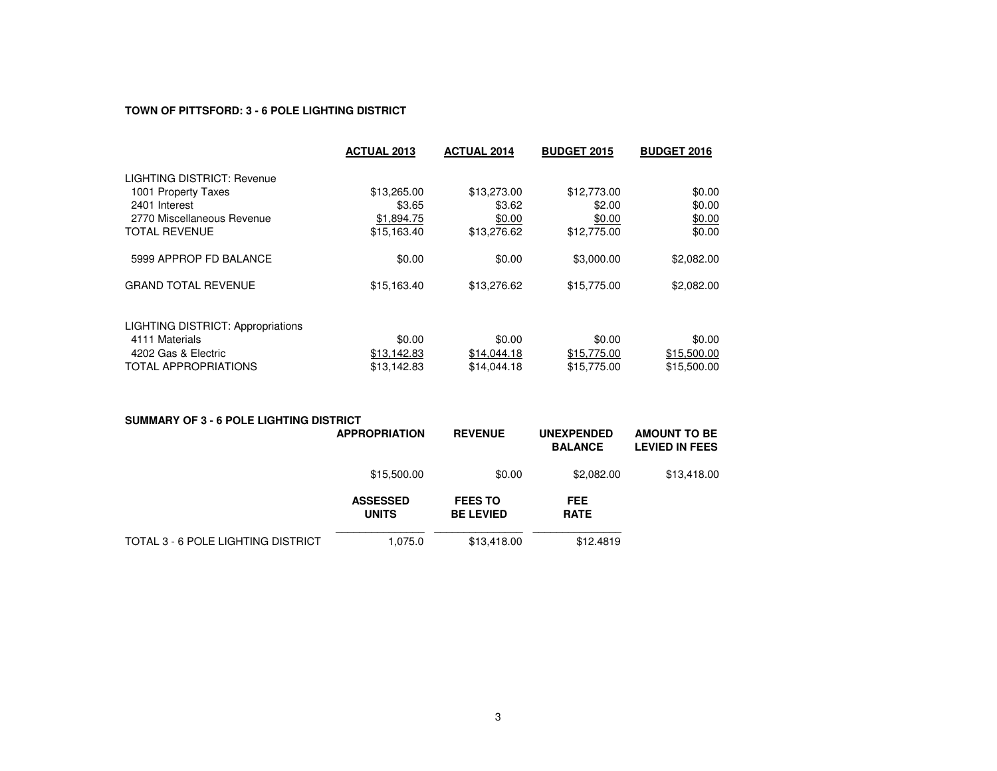# **TOWN OF PITTSFORD: 3 - 6 POLE LIGHTING DISTRICT**

|                                          | <b>ACTUAL 2013</b> | <b>ACTUAL 2014</b> | <b>BUDGET 2015</b> | <b>BUDGET 2016</b> |
|------------------------------------------|--------------------|--------------------|--------------------|--------------------|
| LIGHTING DISTRICT: Revenue               |                    |                    |                    |                    |
| 1001 Property Taxes                      | \$13,265.00        | \$13,273.00        | \$12,773.00        | \$0.00             |
| 2401 Interest                            | \$3.65             | \$3.62             | \$2.00             | \$0.00             |
| 2770 Miscellaneous Revenue               | \$1,894.75         | \$0.00             | \$0.00             | \$0.00             |
| <b>TOTAL REVENUE</b>                     | \$15,163.40        | \$13,276.62        | \$12,775.00        | \$0.00             |
| 5999 APPROP FD BALANCE                   | \$0.00             | \$0.00             | \$3,000.00         | \$2,082.00         |
| <b>GRAND TOTAL REVENUE</b>               | \$15,163.40        | \$13,276.62        | \$15,775.00        | \$2,082.00         |
| <b>LIGHTING DISTRICT: Appropriations</b> |                    |                    |                    |                    |
| 4111 Materials                           | \$0.00             | \$0.00             | \$0.00             | \$0.00             |
| 4202 Gas & Electric                      | \$13,142.83        | \$14,044.18        | \$15,775.00        | \$15,500.00        |
| <b>TOTAL APPROPRIATIONS</b>              | \$13.142.83        | \$14,044.18        | \$15,775.00        | \$15,500.00        |

| <b>SUMMARY OF 3 - 6 POLE LIGHTING DISTRICT</b> |                                 |                                    |                                     |                                              |  |  |  |
|------------------------------------------------|---------------------------------|------------------------------------|-------------------------------------|----------------------------------------------|--|--|--|
|                                                | <b>APPROPRIATION</b>            | <b>REVENUE</b>                     | <b>UNEXPENDED</b><br><b>BALANCE</b> | <b>AMOUNT TO BE</b><br><b>LEVIED IN FEES</b> |  |  |  |
|                                                | \$15,500.00                     | \$0.00                             | \$2,082.00                          | \$13,418.00                                  |  |  |  |
|                                                | <b>ASSESSED</b><br><b>UNITS</b> | <b>FEES TO</b><br><b>BE LEVIED</b> | <b>FEE</b><br><b>RATE</b>           |                                              |  |  |  |
| TOTAL 3 - 6 POLE LIGHTING DISTRICT             | 1,075.0                         | \$13,418,00                        | \$12,4819                           |                                              |  |  |  |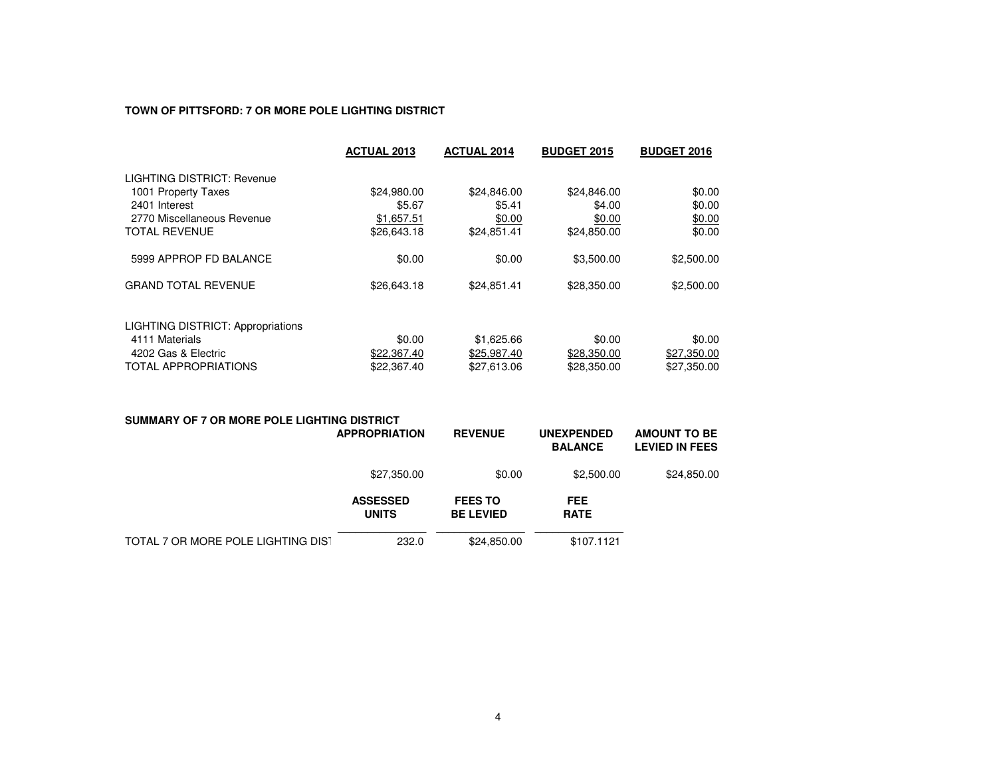# **TOWN OF PITTSFORD: 7 OR MORE POLE LIGHTING DISTRICT**

| <b>ACTUAL 2013</b> | <b>ACTUAL 2014</b> | <b>BUDGET 2015</b> | <b>BUDGET 2016</b> |
|--------------------|--------------------|--------------------|--------------------|
|                    |                    |                    |                    |
| \$24,980.00        | \$24,846.00        | \$24,846.00        | \$0.00             |
| \$5.67             | \$5.41             | \$4.00             | \$0.00             |
| \$1,657.51         | \$0.00             | \$0.00             | \$0.00             |
| \$26,643.18        | \$24,851.41        | \$24,850.00        | \$0.00             |
| \$0.00             | \$0.00             | \$3,500.00         | \$2,500.00         |
| \$26,643.18        | \$24,851.41        | \$28,350.00        | \$2,500.00         |
|                    |                    |                    |                    |
| \$0.00             | \$1,625.66         | \$0.00             | \$0.00             |
| \$22,367.40        | \$25,987.40        | \$28,350.00        | \$27,350.00        |
| \$22,367.40        | \$27,613.06        | \$28,350.00        | \$27,350.00        |
|                    |                    |                    |                    |

| SUMMARY OF 7 OR MORE POLE LIGHTING DISTRICT | <b>APPROPRIATION</b>            | <b>REVENUE</b>                     | <b>UNEXPENDED</b><br><b>BALANCE</b> | <b>AMOUNT TO BE</b><br><b>LEVIED IN FEES</b> |
|---------------------------------------------|---------------------------------|------------------------------------|-------------------------------------|----------------------------------------------|
|                                             | \$27,350.00                     | \$0.00                             | \$2,500.00                          | \$24,850.00                                  |
|                                             | <b>ASSESSED</b><br><b>UNITS</b> | <b>FEES TO</b><br><b>BE LEVIED</b> | <b>FEE</b><br><b>RATE</b>           |                                              |
| TOTAL 7 OR MORE POLE LIGHTING DIST          | 232.0                           | \$24,850.00                        | \$107.1121                          |                                              |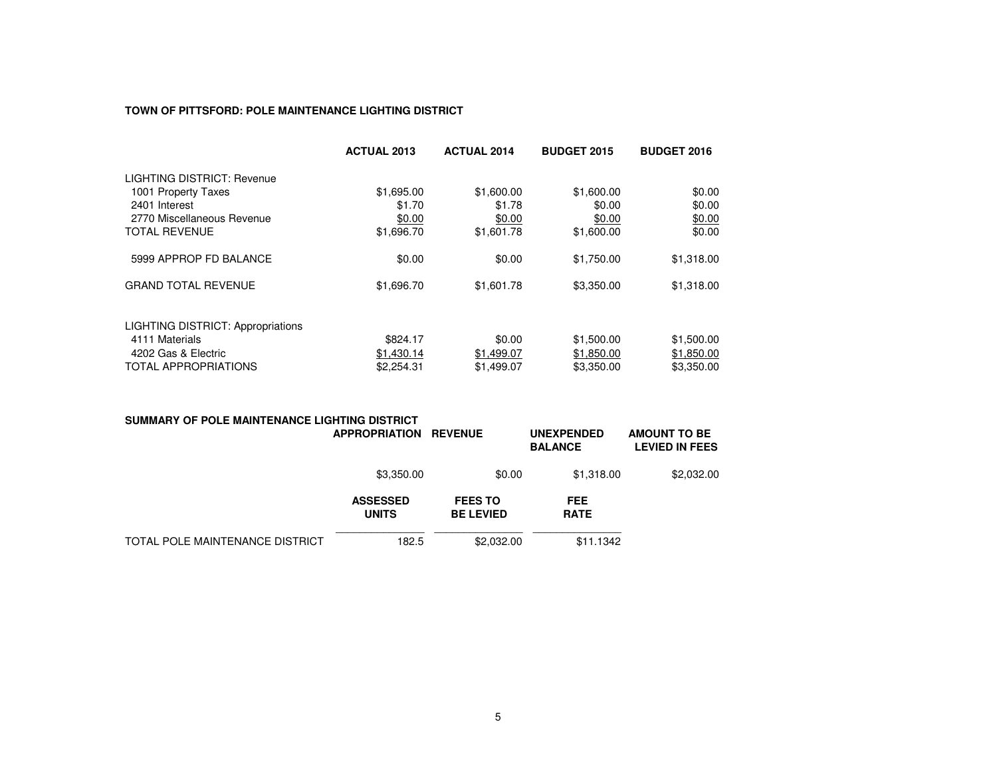### **TOWN OF PITTSFORD: POLE MAINTENANCE LIGHTING DISTRICT**

|                                          | <b>ACTUAL 2013</b> | <b>ACTUAL 2014</b> | <b>BUDGET 2015</b> | <b>BUDGET 2016</b> |
|------------------------------------------|--------------------|--------------------|--------------------|--------------------|
| LIGHTING DISTRICT: Revenue               |                    |                    |                    |                    |
| 1001 Property Taxes                      | \$1,695.00         | \$1,600.00         | \$1,600.00         | \$0.00             |
| 2401 Interest                            | \$1.70             | \$1.78             | \$0.00             | \$0.00             |
| 2770 Miscellaneous Revenue               | \$0.00             | \$0.00             | \$0.00             | \$0.00             |
| <b>TOTAL REVENUE</b>                     | \$1,696.70         | \$1,601.78         | \$1,600.00         | \$0.00             |
| 5999 APPROP FD BALANCE                   | \$0.00             | \$0.00             | \$1,750.00         | \$1,318.00         |
| <b>GRAND TOTAL REVENUE</b>               | \$1,696.70         | \$1,601.78         | \$3,350.00         | \$1,318.00         |
| <b>LIGHTING DISTRICT: Appropriations</b> |                    |                    |                    |                    |
| 4111 Materials                           | \$824.17           | \$0.00             | \$1,500.00         | \$1,500.00         |
| 4202 Gas & Electric                      | \$1,430.14         | \$1,499.07         | \$1,850.00         | \$1,850.00         |
| <b>TOTAL APPROPRIATIONS</b>              | \$2,254.31         | \$1,499.07         | \$3,350.00         | \$3,350,00         |

| SUMMARY OF POLE MAINTENANCE LIGHTING DISTRICT | <b>APPROPRIATION</b>            | <b>REVENUE</b>                     | <b>UNEXPENDED</b><br><b>BALANCE</b> | <b>AMOUNT TO BE</b><br><b>LEVIED IN FEES</b> |
|-----------------------------------------------|---------------------------------|------------------------------------|-------------------------------------|----------------------------------------------|
|                                               | \$3,350.00                      | \$0.00                             | \$1,318.00                          | \$2,032.00                                   |
|                                               | <b>ASSESSED</b><br><b>UNITS</b> | <b>FEES TO</b><br><b>BE LEVIED</b> | <b>FEE</b><br><b>RATE</b>           |                                              |
| TOTAL POLE MAINTENANCE DISTRICT               | 182.5                           | \$2,032,00                         | \$11.1342                           |                                              |